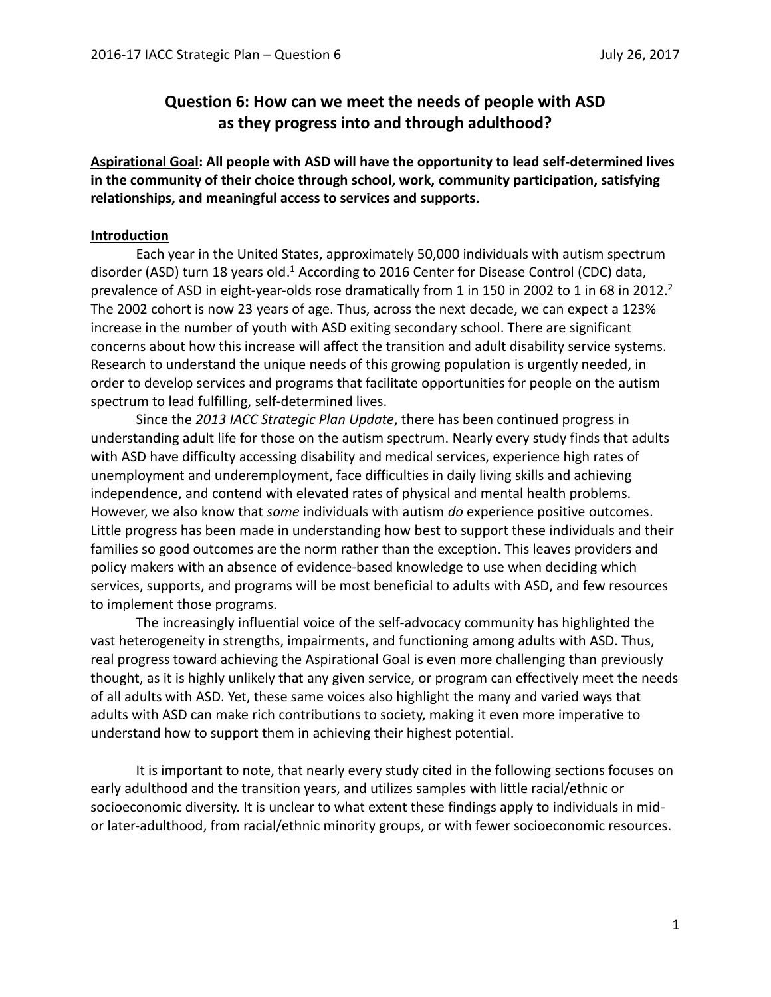# **Question 6: How can we meet the needs of people with ASD as they progress into and through adulthood?**

**Aspirational Goal: All people with ASD will have the opportunity to lead self-determined lives in the community of their choice through school, work, community participation, satisfying relationships, and meaningful access to services and supports.**

### **Introduction**

Each year in the United States, approximately 50,000 individuals with autism spectrum disorder (ASD) turn 18 years old.<sup>1</sup> According to 2016 Center for Disease Control (CDC) data, prevalence of ASD in eight-year-olds rose dramatically from 1 in 150 in 2002 to 1 in 68 in 2012.<sup>2</sup> The 2002 cohort is now 23 years of age. Thus, across the next decade, we can expect a 123% increase in the number of youth with ASD exiting secondary school. There are significant concerns about how this increase will affect the transition and adult disability service systems. Research to understand the unique needs of this growing population is urgently needed, in order to develop services and programs that facilitate opportunities for people on the autism spectrum to lead fulfilling, self-determined lives.

Since the *2013 IACC Strategic Plan Update*, there has been continued progress in understanding adult life for those on the autism spectrum. Nearly every study finds that adults with ASD have difficulty accessing disability and medical services, experience high rates of unemployment and underemployment, face difficulties in daily living skills and achieving independence, and contend with elevated rates of physical and mental health problems. However, we also know that *some* individuals with autism *do* experience positive outcomes. Little progress has been made in understanding how best to support these individuals and their families so good outcomes are the norm rather than the exception. This leaves providers and policy makers with an absence of evidence-based knowledge to use when deciding which services, supports, and programs will be most beneficial to adults with ASD, and few resources to implement those programs.

The increasingly influential voice of the self-advocacy community has highlighted the vast heterogeneity in strengths, impairments, and functioning among adults with ASD. Thus, real progress toward achieving the Aspirational Goal is even more challenging than previously thought, as it is highly unlikely that any given service, or program can effectively meet the needs of all adults with ASD. Yet, these same voices also highlight the many and varied ways that adults with ASD can make rich contributions to society, making it even more imperative to understand how to support them in achieving their highest potential.

It is important to note, that nearly every study cited in the following sections focuses on early adulthood and the transition years, and utilizes samples with little racial/ethnic or socioeconomic diversity. It is unclear to what extent these findings apply to individuals in midor later-adulthood, from racial/ethnic minority groups, or with fewer socioeconomic resources.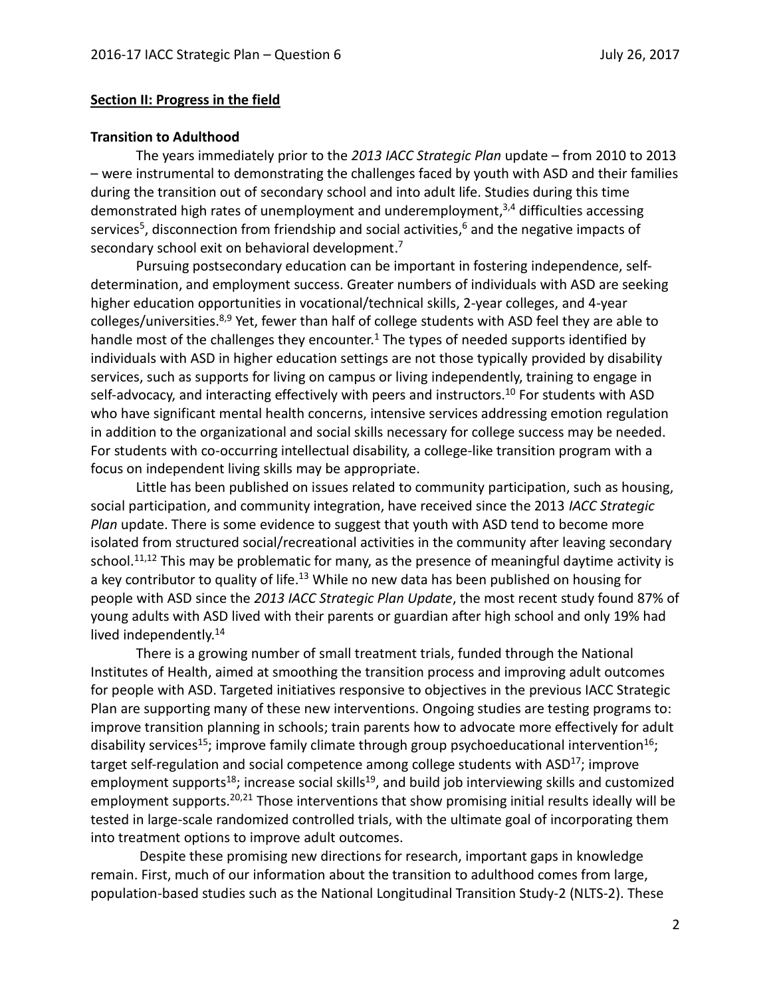## **Section II: Progress in the field**

### **Transition to Adulthood**

The years immediately prior to the *2013 IACC Strategic Plan* update – from 2010 to 2013 – were instrumental to demonstrating the challenges faced by youth with ASD and their families during the transition out of secondary school and into adult life. Studies during this time demonstrated high rates of unemployment and underemployment,<sup>3,4</sup> difficulties accessing services<sup>5</sup>, disconnection from friendship and social activities,<sup>6</sup> and the negative impacts of secondary school exit on behavioral development.<sup>7</sup>

Pursuing postsecondary education can be important in fostering independence, selfdetermination, and employment success. Greater numbers of individuals with ASD are seeking higher education opportunities in vocational/technical skills, 2-year colleges, and 4-year colleges/universities.<sup>8,9</sup> Yet, fewer than half of college students with ASD feel they are able to handle most of the challenges they encounter.<sup>1</sup> The types of needed supports identified by individuals with ASD in higher education settings are not those typically provided by disability services, such as supports for living on campus or living independently, training to engage in self-advocacy, and interacting effectively with peers and instructors.<sup>10</sup> For students with ASD who have significant mental health concerns, intensive services addressing emotion regulation in addition to the organizational and social skills necessary for college success may be needed. For students with co-occurring intellectual disability, a college-like transition program with a focus on independent living skills may be appropriate.

Little has been published on issues related to community participation, such as housing, social participation, and community integration, have received since the 2013 *IACC Strategic Plan* update. There is some evidence to suggest that youth with ASD tend to become more isolated from structured social/recreational activities in the community after leaving secondary school.<sup>11,12</sup> This may be problematic for many, as the presence of meaningful daytime activity is a key contributor to quality of life.<sup>13</sup> While no new data has been published on housing for people with ASD since the *2013 IACC Strategic Plan Update*, the most recent study found 87% of young adults with ASD lived with their parents or guardian after high school and only 19% had lived independently.<sup>14</sup>

There is a growing number of small treatment trials, funded through the National Institutes of Health, aimed at smoothing the transition process and improving adult outcomes for people with ASD. Targeted initiatives responsive to objectives in the previous IACC Strategic Plan are supporting many of these new interventions. Ongoing studies are testing programs to: improve transition planning in schools; train parents how to advocate more effectively for adult disability services<sup>15</sup>; improve family climate through group psychoeducational intervention<sup>16</sup>; target self-regulation and social competence among college students with ASD<sup>17</sup>; improve employment supports<sup>18</sup>; increase social skills<sup>19</sup>, and build job interviewing skills and customized employment supports.<sup>20,21</sup> Those interventions that show promising initial results ideally will be tested in large-scale randomized controlled trials, with the ultimate goal of incorporating them into treatment options to improve adult outcomes.

Despite these promising new directions for research, important gaps in knowledge remain. First, much of our information about the transition to adulthood comes from large, population-based studies such as the National Longitudinal Transition Study-2 (NLTS-2). These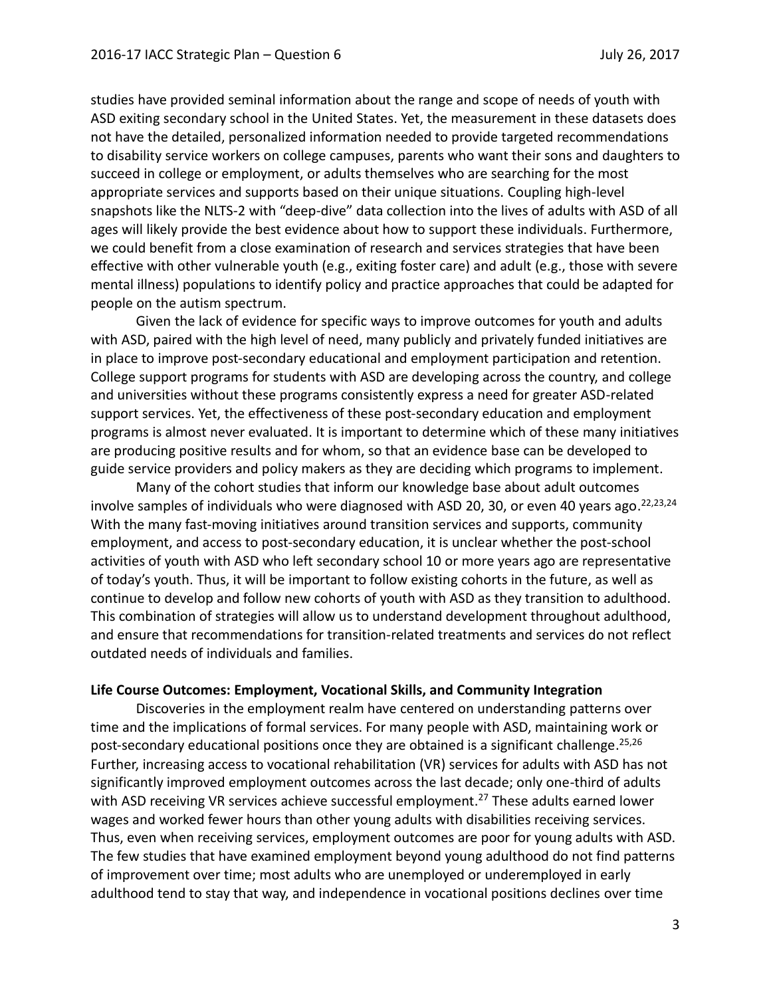studies have provided seminal information about the range and scope of needs of youth with ASD exiting secondary school in the United States. Yet, the measurement in these datasets does not have the detailed, personalized information needed to provide targeted recommendations to disability service workers on college campuses, parents who want their sons and daughters to succeed in college or employment, or adults themselves who are searching for the most appropriate services and supports based on their unique situations. Coupling high-level snapshots like the NLTS-2 with "deep-dive" data collection into the lives of adults with ASD of all ages will likely provide the best evidence about how to support these individuals. Furthermore, we could benefit from a close examination of research and services strategies that have been effective with other vulnerable youth (e.g., exiting foster care) and adult (e.g., those with severe mental illness) populations to identify policy and practice approaches that could be adapted for people on the autism spectrum.

Given the lack of evidence for specific ways to improve outcomes for youth and adults with ASD, paired with the high level of need, many publicly and privately funded initiatives are in place to improve post-secondary educational and employment participation and retention. College support programs for students with ASD are developing across the country, and college and universities without these programs consistently express a need for greater ASD-related support services. Yet, the effectiveness of these post-secondary education and employment programs is almost never evaluated. It is important to determine which of these many initiatives are producing positive results and for whom, so that an evidence base can be developed to guide service providers and policy makers as they are deciding which programs to implement.

Many of the cohort studies that inform our knowledge base about adult outcomes involve samples of individuals who were diagnosed with ASD 20, 30, or even 40 years ago.<sup>22,23,24</sup> With the many fast-moving initiatives around transition services and supports, community employment, and access to post-secondary education, it is unclear whether the post-school activities of youth with ASD who left secondary school 10 or more years ago are representative of today's youth. Thus, it will be important to follow existing cohorts in the future, as well as continue to develop and follow new cohorts of youth with ASD as they transition to adulthood. This combination of strategies will allow us to understand development throughout adulthood, and ensure that recommendations for transition-related treatments and services do not reflect outdated needs of individuals and families.

#### **Life Course Outcomes: Employment, Vocational Skills, and Community Integration**

Discoveries in the employment realm have centered on understanding patterns over time and the implications of formal services. For many people with ASD, maintaining work or post-secondary educational positions once they are obtained is a significant challenge.<sup>25,26</sup> Further, increasing access to vocational rehabilitation (VR) services for adults with ASD has not significantly improved employment outcomes across the last decade; only one-third of adults with ASD receiving VR services achieve successful employment.<sup>27</sup> These adults earned lower wages and worked fewer hours than other young adults with disabilities receiving services. Thus, even when receiving services, employment outcomes are poor for young adults with ASD. The few studies that have examined employment beyond young adulthood do not find patterns of improvement over time; most adults who are unemployed or underemployed in early adulthood tend to stay that way, and independence in vocational positions declines over time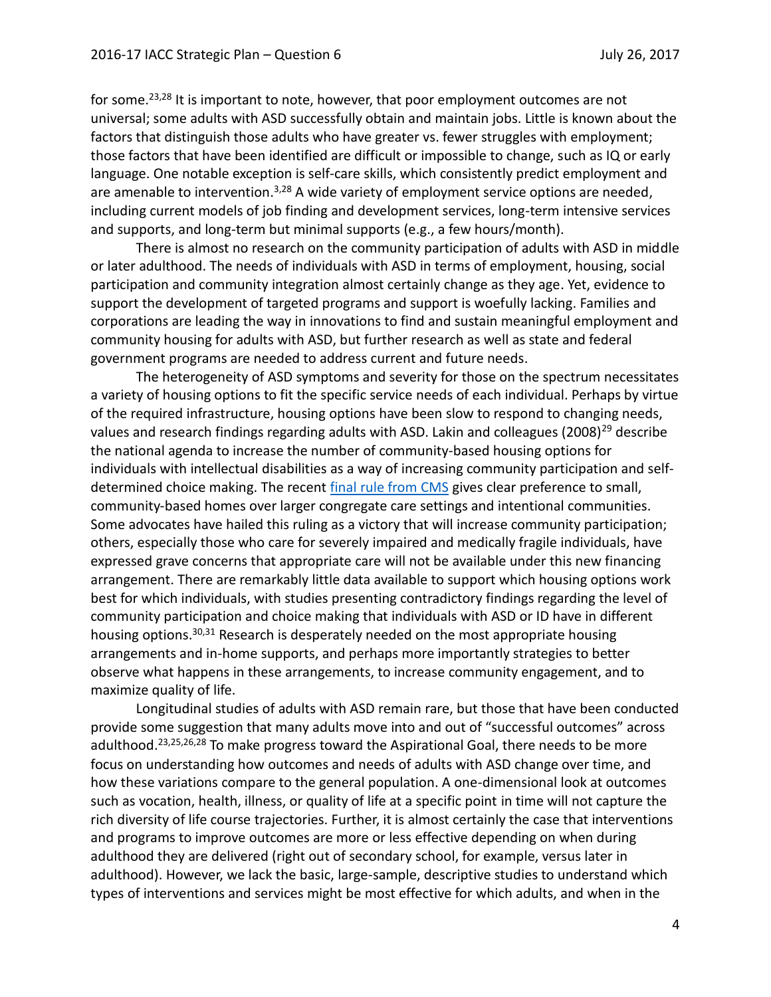for some.<sup>23,28</sup> It is important to note, however, that poor employment outcomes are not universal; some adults with ASD successfully obtain and maintain jobs. Little is known about the factors that distinguish those adults who have greater vs. fewer struggles with employment; those factors that have been identified are difficult or impossible to change, such as IQ or early language. One notable exception is self-care skills, which consistently predict employment and are amenable to intervention.<sup>3,28</sup> A wide variety of employment service options are needed, including current models of job finding and development services, long-term intensive services and supports, and long-term but minimal supports (e.g., a few hours/month).

There is almost no research on the community participation of adults with ASD in middle or later adulthood. The needs of individuals with ASD in terms of employment, housing, social participation and community integration almost certainly change as they age. Yet, evidence to support the development of targeted programs and support is woefully lacking. Families and corporations are leading the way in innovations to find and sustain meaningful employment and community housing for adults with ASD, but further research as well as state and federal government programs are needed to address current and future needs.

The heterogeneity of ASD symptoms and severity for those on the spectrum necessitates a variety of housing options to fit the specific service needs of each individual. Perhaps by virtue of the required infrastructure, housing options have been slow to respond to changing needs, values and research findings regarding adults with ASD. Lakin and colleagues  $(2008)^{29}$  describe the national agenda to increase the number of community-based housing options for individuals with intellectual disabilities as a way of increasing community participation and selfdetermined choice making. The recent [final rule from CMS](https://www.federalregister.gov/documents/2014/01/16/2014-00487/medicaid-program-state-plan-home-and-community-based-services-5-year-period-for-waivers-provider) gives clear preference to small, community-based homes over larger congregate care settings and intentional communities. Some advocates have hailed this ruling as a victory that will increase community participation; others, especially those who care for severely impaired and medically fragile individuals, have expressed grave concerns that appropriate care will not be available under this new financing arrangement. There are remarkably little data available to support which housing options work best for which individuals, with studies presenting contradictory findings regarding the level of community participation and choice making that individuals with ASD or ID have in different housing options.<sup>30,31</sup> Research is desperately needed on the most appropriate housing arrangements and in-home supports, and perhaps more importantly strategies to better observe what happens in these arrangements, to increase community engagement, and to maximize quality of life.

Longitudinal studies of adults with ASD remain rare, but those that have been conducted provide some suggestion that many adults move into and out of "successful outcomes" across adulthood.<sup>23,25,26,28</sup> To make progress toward the Aspirational Goal, there needs to be more focus on understanding how outcomes and needs of adults with ASD change over time, and how these variations compare to the general population. A one-dimensional look at outcomes such as vocation, health, illness, or quality of life at a specific point in time will not capture the rich diversity of life course trajectories. Further, it is almost certainly the case that interventions and programs to improve outcomes are more or less effective depending on when during adulthood they are delivered (right out of secondary school, for example, versus later in adulthood). However, we lack the basic, large-sample, descriptive studies to understand which types of interventions and services might be most effective for which adults, and when in the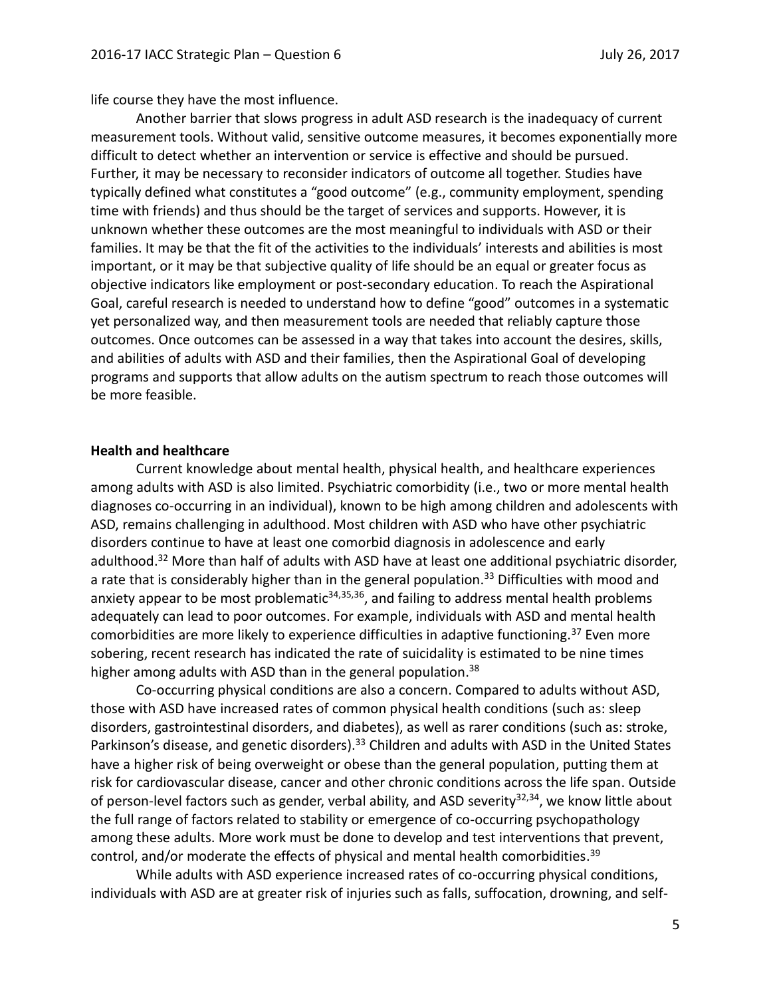life course they have the most influence.

Another barrier that slows progress in adult ASD research is the inadequacy of current measurement tools. Without valid, sensitive outcome measures, it becomes exponentially more difficult to detect whether an intervention or service is effective and should be pursued. Further, it may be necessary to reconsider indicators of outcome all together. Studies have typically defined what constitutes a "good outcome" (e.g., community employment, spending time with friends) and thus should be the target of services and supports. However, it is unknown whether these outcomes are the most meaningful to individuals with ASD or their families. It may be that the fit of the activities to the individuals' interests and abilities is most important, or it may be that subjective quality of life should be an equal or greater focus as objective indicators like employment or post-secondary education. To reach the Aspirational Goal, careful research is needed to understand how to define "good" outcomes in a systematic yet personalized way, and then measurement tools are needed that reliably capture those outcomes. Once outcomes can be assessed in a way that takes into account the desires, skills, and abilities of adults with ASD and their families, then the Aspirational Goal of developing programs and supports that allow adults on the autism spectrum to reach those outcomes will be more feasible.

### **Health and healthcare**

Current knowledge about mental health, physical health, and healthcare experiences among adults with ASD is also limited. Psychiatric comorbidity (i.e., two or more mental health diagnoses co-occurring in an individual), known to be high among children and adolescents with ASD, remains challenging in adulthood. Most children with ASD who have other psychiatric disorders continue to have at least one comorbid diagnosis in adolescence and early adulthood.<sup>32</sup> More than half of adults with ASD have at least one additional psychiatric disorder, a rate that is considerably higher than in the general population.<sup>33</sup> Difficulties with mood and anxiety appear to be most problematic<sup>34,35,36</sup>, and failing to address mental health problems adequately can lead to poor outcomes. For example, individuals with ASD and mental health comorbidities are more likely to experience difficulties in adaptive functioning.<sup>37</sup> Even more sobering, recent research has indicated the rate of suicidality is estimated to be nine times higher among adults with ASD than in the general population.<sup>38</sup>

Co-occurring physical conditions are also a concern. Compared to adults without ASD, those with ASD have increased rates of common physical health conditions (such as: sleep disorders, gastrointestinal disorders, and diabetes), as well as rarer conditions (such as: stroke, Parkinson's disease, and genetic disorders).<sup>33</sup> Children and adults with ASD in the United States have a higher risk of being overweight or obese than the general population, putting them at risk for cardiovascular disease, cancer and other chronic conditions across the life span. Outside of person-level factors such as gender, verbal ability, and ASD severity<sup>32,34</sup>, we know little about the full range of factors related to stability or emergence of co-occurring psychopathology among these adults. More work must be done to develop and test interventions that prevent, control, and/or moderate the effects of physical and mental health comorbidities. 39

While adults with ASD experience increased rates of co-occurring physical conditions, individuals with ASD are at greater risk of injuries such as falls, suffocation, drowning, and self-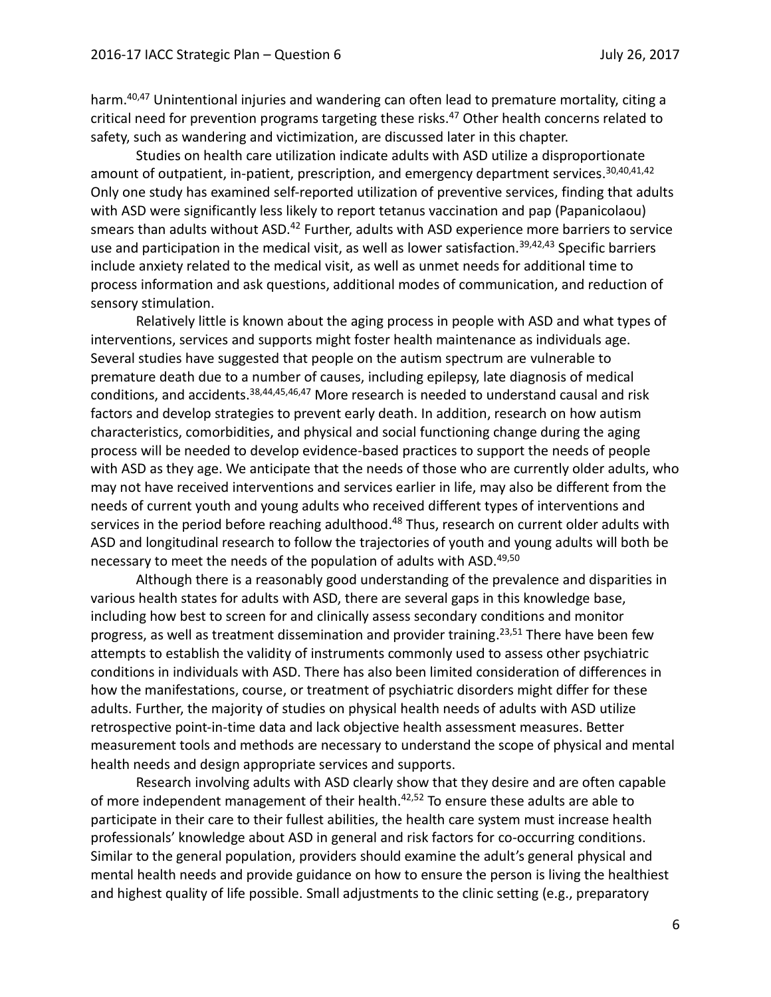harm.<sup>40,47</sup> Unintentional injuries and wandering can often lead to premature mortality, citing a critical need for prevention programs targeting these risks. <sup>47</sup> Other health concerns related to safety, such as wandering and victimization, are discussed later in this chapter.

Studies on health care utilization indicate adults with ASD utilize a disproportionate amount of outpatient, in-patient, prescription, and emergency department services.<sup>30,40,41,42</sup> Only one study has examined self-reported utilization of preventive services, finding that adults with ASD were significantly less likely to report tetanus vaccination and pap (Papanicolaou) smears than adults without ASD.<sup>42</sup> Further, adults with ASD experience more barriers to service use and participation in the medical visit, as well as lower satisfaction.<sup>39,42,43</sup> Specific barriers include anxiety related to the medical visit, as well as unmet needs for additional time to process information and ask questions, additional modes of communication, and reduction of sensory stimulation.

Relatively little is known about the aging process in people with ASD and what types of interventions, services and supports might foster health maintenance as individuals age. Several studies have suggested that people on the autism spectrum are vulnerable to premature death due to a number of causes, including epilepsy, late diagnosis of medical conditions, and accidents.<sup>38,44,45,46,47</sup> More research is needed to understand causal and risk factors and develop strategies to prevent early death. In addition, research on how autism characteristics, comorbidities, and physical and social functioning change during the aging process will be needed to develop evidence-based practices to support the needs of people with ASD as they age. We anticipate that the needs of those who are currently older adults, who may not have received interventions and services earlier in life, may also be different from the needs of current youth and young adults who received different types of interventions and services in the period before reaching adulthood.<sup>48</sup> Thus, research on current older adults with ASD and longitudinal research to follow the trajectories of youth and young adults will both be necessary to meet the needs of the population of adults with ASD.<sup>49,50</sup>

Although there is a reasonably good understanding of the prevalence and disparities in various health states for adults with ASD, there are several gaps in this knowledge base, including how best to screen for and clinically assess secondary conditions and monitor progress, as well as treatment dissemination and provider training.<sup>23,51</sup> There have been few attempts to establish the validity of instruments commonly used to assess other psychiatric conditions in individuals with ASD. There has also been limited consideration of differences in how the manifestations, course, or treatment of psychiatric disorders might differ for these adults. Further, the majority of studies on physical health needs of adults with ASD utilize retrospective point-in-time data and lack objective health assessment measures. Better measurement tools and methods are necessary to understand the scope of physical and mental health needs and design appropriate services and supports.

Research involving adults with ASD clearly show that they desire and are often capable of more independent management of their health.<sup>42,52</sup> To ensure these adults are able to participate in their care to their fullest abilities, the health care system must increase health professionals' knowledge about ASD in general and risk factors for co-occurring conditions. Similar to the general population, providers should examine the adult's general physical and mental health needs and provide guidance on how to ensure the person is living the healthiest and highest quality of life possible. Small adjustments to the clinic setting (e.g., preparatory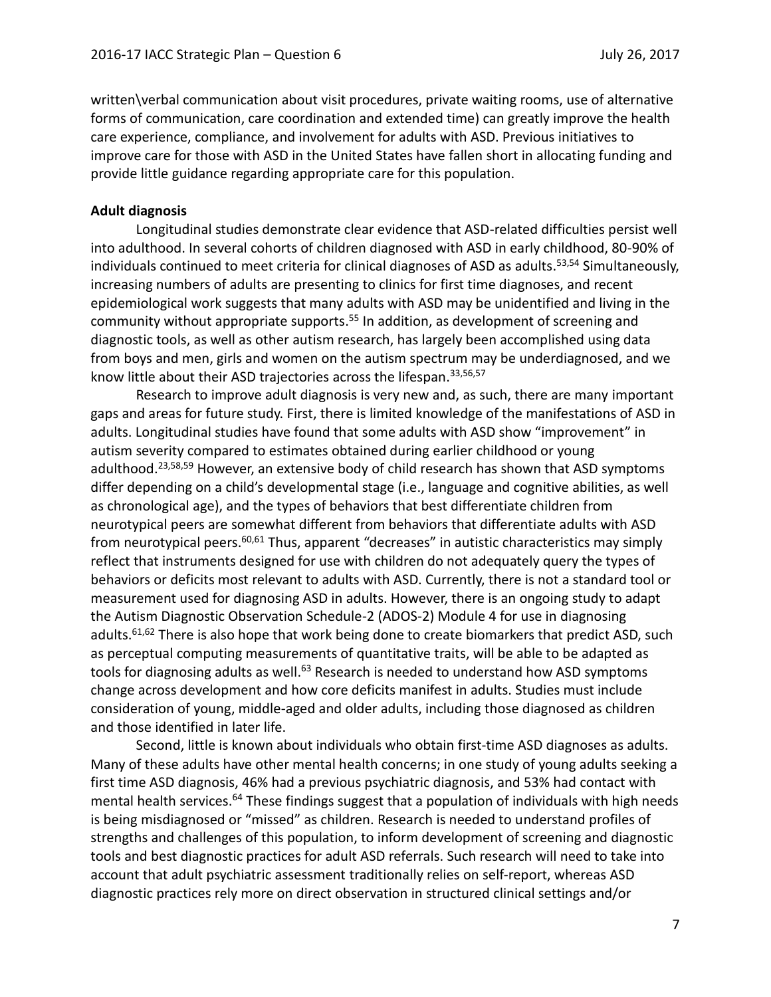written\verbal communication about visit procedures, private waiting rooms, use of alternative forms of communication, care coordination and extended time) can greatly improve the health care experience, compliance, and involvement for adults with ASD. Previous initiatives to improve care for those with ASD in the United States have fallen short in allocating funding and provide little guidance regarding appropriate care for this population.

#### **Adult diagnosis**

Longitudinal studies demonstrate clear evidence that ASD-related difficulties persist well into adulthood. In several cohorts of children diagnosed with ASD in early childhood, 80-90% of individuals continued to meet criteria for clinical diagnoses of ASD as adults. <sup>53</sup>,<sup>54</sup> Simultaneously, increasing numbers of adults are presenting to clinics for first time diagnoses, and recent epidemiological work suggests that many adults with ASD may be unidentified and living in the community without appropriate supports.<sup>55</sup> In addition, as development of screening and diagnostic tools, as well as other autism research, has largely been accomplished using data from boys and men, girls and women on the autism spectrum may be underdiagnosed, and we know little about their ASD trajectories across the lifespan. 33,56,57

Research to improve adult diagnosis is very new and, as such, there are many important gaps and areas for future study. First, there is limited knowledge of the manifestations of ASD in adults. Longitudinal studies have found that some adults with ASD show "improvement" in autism severity compared to estimates obtained during earlier childhood or young adulthood.<sup>23,58,59</sup> However, an extensive body of child research has shown that ASD symptoms differ depending on a child's developmental stage (i.e., language and cognitive abilities, as well as chronological age), and the types of behaviors that best differentiate children from neurotypical peers are somewhat different from behaviors that differentiate adults with ASD from neurotypical peers.<sup>60,61</sup> Thus, apparent "decreases" in autistic characteristics may simply reflect that instruments designed for use with children do not adequately query the types of behaviors or deficits most relevant to adults with ASD. Currently, there is not a standard tool or measurement used for diagnosing ASD in adults. However, there is an ongoing study to adapt the Autism Diagnostic Observation Schedule-2 (ADOS-2) Module 4 for use in diagnosing adults.<sup>61,62</sup> There is also hope that work being done to create biomarkers that predict ASD, such as perceptual computing measurements of quantitative traits, will be able to be adapted as tools for diagnosing adults as well.<sup>63</sup> Research is needed to understand how ASD symptoms change across development and how core deficits manifest in adults. Studies must include consideration of young, middle-aged and older adults, including those diagnosed as children and those identified in later life.

Second, little is known about individuals who obtain first-time ASD diagnoses as adults. Many of these adults have other mental health concerns; in one study of young adults seeking a first time ASD diagnosis, 46% had a previous psychiatric diagnosis, and 53% had contact with mental health services.<sup>64</sup> These findings suggest that a population of individuals with high needs is being misdiagnosed or "missed" as children. Research is needed to understand profiles of strengths and challenges of this population, to inform development of screening and diagnostic tools and best diagnostic practices for adult ASD referrals. Such research will need to take into account that adult psychiatric assessment traditionally relies on self-report, whereas ASD diagnostic practices rely more on direct observation in structured clinical settings and/or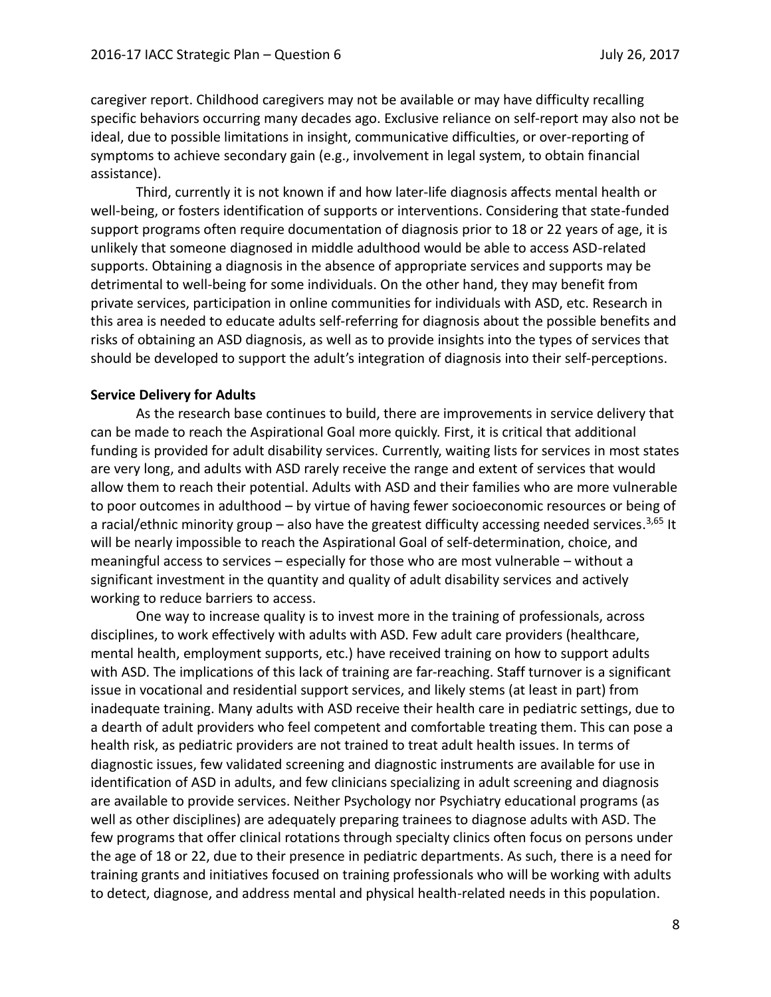caregiver report. Childhood caregivers may not be available or may have difficulty recalling specific behaviors occurring many decades ago. Exclusive reliance on self-report may also not be ideal, due to possible limitations in insight, communicative difficulties, or over-reporting of symptoms to achieve secondary gain (e.g., involvement in legal system, to obtain financial assistance).

Third, currently it is not known if and how later-life diagnosis affects mental health or well-being, or fosters identification of supports or interventions. Considering that state-funded support programs often require documentation of diagnosis prior to 18 or 22 years of age, it is unlikely that someone diagnosed in middle adulthood would be able to access ASD-related supports. Obtaining a diagnosis in the absence of appropriate services and supports may be detrimental to well-being for some individuals. On the other hand, they may benefit from private services, participation in online communities for individuals with ASD, etc. Research in this area is needed to educate adults self-referring for diagnosis about the possible benefits and risks of obtaining an ASD diagnosis, as well as to provide insights into the types of services that should be developed to support the adult's integration of diagnosis into their self-perceptions.

### **Service Delivery for Adults**

As the research base continues to build, there are improvements in service delivery that can be made to reach the Aspirational Goal more quickly. First, it is critical that additional funding is provided for adult disability services. Currently, waiting lists for services in most states are very long, and adults with ASD rarely receive the range and extent of services that would allow them to reach their potential. Adults with ASD and their families who are more vulnerable to poor outcomes in adulthood – by virtue of having fewer socioeconomic resources or being of a racial/ethnic minority group – also have the greatest difficulty accessing needed services.<sup>3,65</sup> It will be nearly impossible to reach the Aspirational Goal of self-determination, choice, and meaningful access to services – especially for those who are most vulnerable – without a significant investment in the quantity and quality of adult disability services and actively working to reduce barriers to access.

One way to increase quality is to invest more in the training of professionals, across disciplines, to work effectively with adults with ASD. Few adult care providers (healthcare, mental health, employment supports, etc.) have received training on how to support adults with ASD. The implications of this lack of training are far-reaching. Staff turnover is a significant issue in vocational and residential support services, and likely stems (at least in part) from inadequate training. Many adults with ASD receive their health care in pediatric settings, due to a dearth of adult providers who feel competent and comfortable treating them. This can pose a health risk, as pediatric providers are not trained to treat adult health issues. In terms of diagnostic issues, few validated screening and diagnostic instruments are available for use in identification of ASD in adults, and few clinicians specializing in adult screening and diagnosis are available to provide services. Neither Psychology nor Psychiatry educational programs (as well as other disciplines) are adequately preparing trainees to diagnose adults with ASD. The few programs that offer clinical rotations through specialty clinics often focus on persons under the age of 18 or 22, due to their presence in pediatric departments. As such, there is a need for training grants and initiatives focused on training professionals who will be working with adults to detect, diagnose, and address mental and physical health-related needs in this population.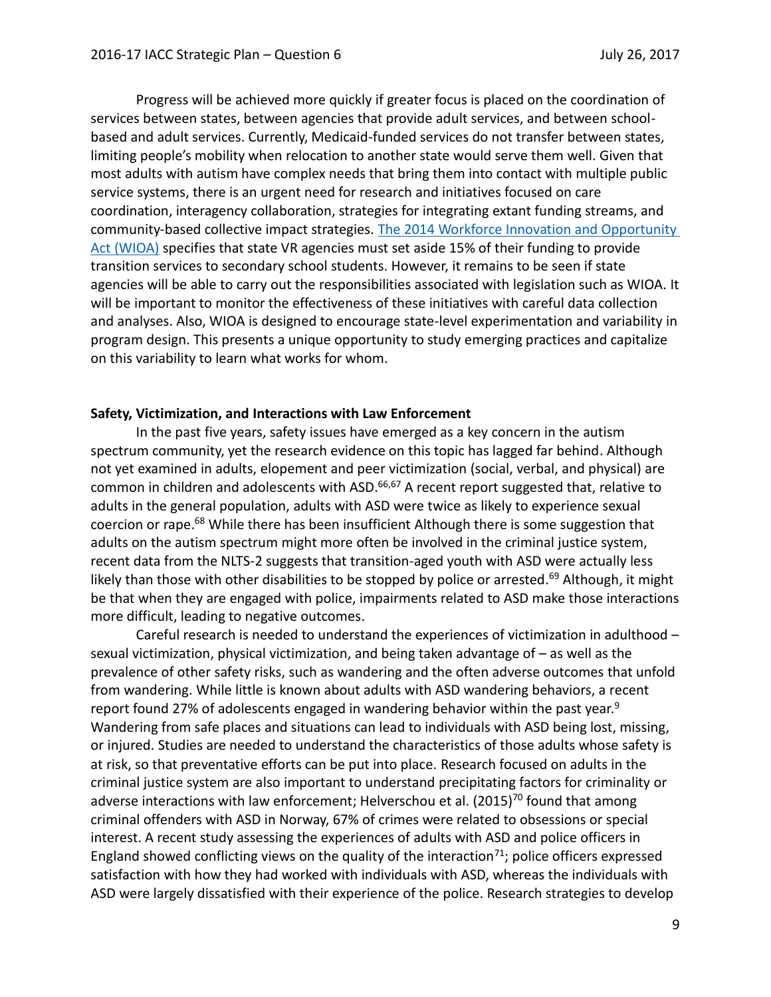Progress will be achieved more quickly if greater focus is placed on the coordination of services between states, between agencies that provide adult services, and between schoolbased and adult services. Currently, Medicaid-funded services do not transfer between states, limiting people's mobility when relocation to another state would serve them well. Given that most adults with autism have complex needs that bring them into contact with multiple public service systems, there is an urgent need for research and initiatives focused on care coordination, interagency collaboration, strategies for integrating extant funding streams, and community-based collective impact strategies. [The 2014 Workforce Innovation and Opportunity](https://www.congress.gov/113/plaws/publ128/PLAW-113publ128.pdf)  [Act \(WIOA\)](https://www.congress.gov/113/plaws/publ128/PLAW-113publ128.pdf) specifies that state VR agencies must set aside 15% of their funding to provide transition services to secondary school students. However, it remains to be seen if state agencies will be able to carry out the responsibilities associated with legislation such as WIOA. It will be important to monitor the effectiveness of these initiatives with careful data collection and analyses. Also, WIOA is designed to encourage state-level experimentation and variability in program design. This presents a unique opportunity to study emerging practices and capitalize on this variability to learn what works for whom.

### **Safety, Victimization, and Interactions with Law Enforcement**

In the past five years, safety issues have emerged as a key concern in the autism spectrum community, yet the research evidence on this topic has lagged far behind. Although not yet examined in adults, elopement and peer victimization (social, verbal, and physical) are common in children and adolescents with ASD.<sup>66,67</sup> A recent report suggested that, relative to adults in the general population, adults with ASD were twice as likely to experience sexual coercion or rape.<sup>68</sup> While there has been insufficient Although there is some suggestion that adults on the autism spectrum might more often be involved in the criminal justice system, recent data from the NLTS-2 suggests that transition-aged youth with ASD were actually less likely than those with other disabilities to be stopped by police or arrested.<sup>69</sup> Although, it might be that when they are engaged with police, impairments related to ASD make those interactions more difficult, leading to negative outcomes.

Careful research is needed to understand the experiences of victimization in adulthood – sexual victimization, physical victimization, and being taken advantage of – as well as the prevalence of other safety risks, such as wandering and the often adverse outcomes that unfold from wandering. While little is known about adults with ASD wandering behaviors, a recent report found 27% of adolescents engaged in wandering behavior within the past year.<sup>9</sup> Wandering from safe places and situations can lead to individuals with ASD being lost, missing, or injured. Studies are needed to understand the characteristics of those adults whose safety is at risk, so that preventative efforts can be put into place. Research focused on adults in the criminal justice system are also important to understand precipitating factors for criminality or adverse interactions with law enforcement; Helverschou et al.  $(2015)^{70}$  found that among criminal offenders with ASD in Norway, 67% of crimes were related to obsessions or special interest. A recent study assessing the experiences of adults with ASD and police officers in England showed conflicting views on the quality of the interaction<sup>71</sup>; police officers expressed satisfaction with how they had worked with individuals with ASD, whereas the individuals with ASD were largely dissatisfied with their experience of the police. Research strategies to develop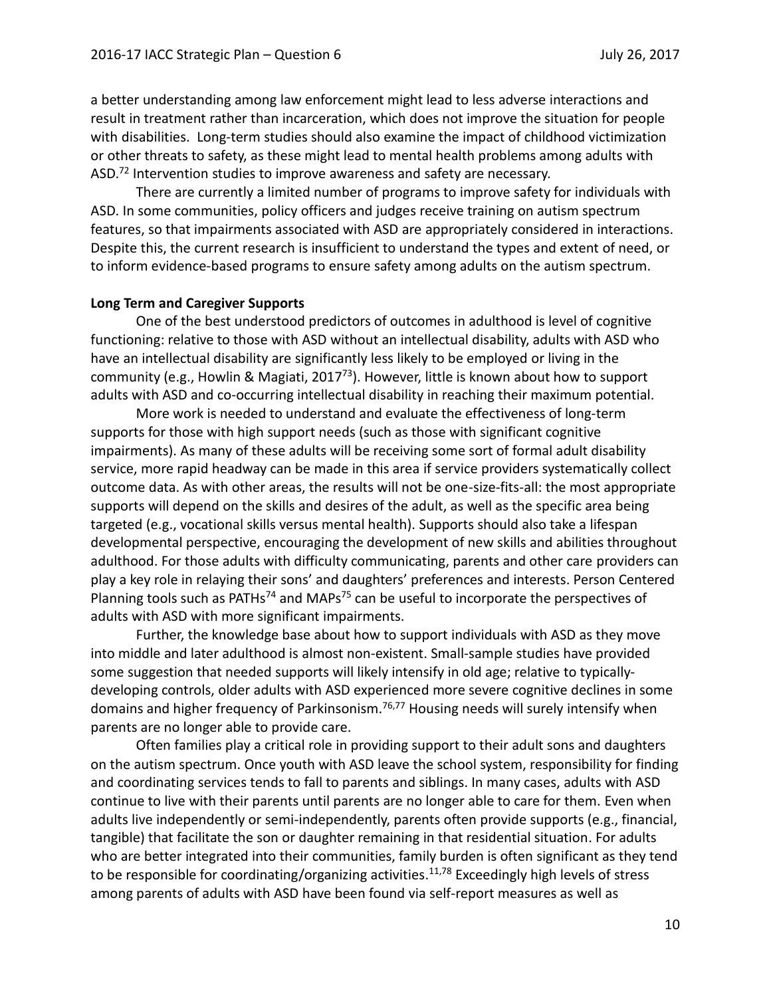a better understanding among law enforcement might lead to less adverse interactions and result in treatment rather than incarceration, which does not improve the situation for people with disabilities. Long-term studies should also examine the impact of childhood victimization or other threats to safety, as these might lead to mental health problems among adults with ASD.<sup>72</sup> Intervention studies to improve awareness and safety are necessary.

There are currently a limited number of programs to improve safety for individuals with ASD. In some communities, policy officers and judges receive training on autism spectrum features, so that impairments associated with ASD are appropriately considered in interactions. Despite this, the current research is insufficient to understand the types and extent of need, or to inform evidence-based programs to ensure safety among adults on the autism spectrum.

#### **Long Term and Caregiver Supports**

One of the best understood predictors of outcomes in adulthood is level of cognitive functioning: relative to those with ASD without an intellectual disability, adults with ASD who have an intellectual disability are significantly less likely to be employed or living in the community (e.g., Howlin & Magiati, 2017<sup>73</sup>). However, little is known about how to support adults with ASD and co-occurring intellectual disability in reaching their maximum potential.

More work is needed to understand and evaluate the effectiveness of long-term supports for those with high support needs (such as those with significant cognitive impairments). As many of these adults will be receiving some sort of formal adult disability service, more rapid headway can be made in this area if service providers systematically collect outcome data. As with other areas, the results will not be one-size-fits-all: the most appropriate supports will depend on the skills and desires of the adult, as well as the specific area being targeted (e.g., vocational skills versus mental health). Supports should also take a lifespan developmental perspective, encouraging the development of new skills and abilities throughout adulthood. For those adults with difficulty communicating, parents and other care providers can play a key role in relaying their sons' and daughters' preferences and interests. Person Centered Planning tools such as PATHs<sup>74</sup> and MAPs<sup>75</sup> can be useful to incorporate the perspectives of adults with ASD with more significant impairments.

Further, the knowledge base about how to support individuals with ASD as they move into middle and later adulthood is almost non-existent. Small-sample studies have provided some suggestion that needed supports will likely intensify in old age; relative to typicallydeveloping controls, older adults with ASD experienced more severe cognitive declines in some domains and higher frequency of Parkinsonism.<sup>76,77</sup> Housing needs will surely intensify when parents are no longer able to provide care.

Often families play a critical role in providing support to their adult sons and daughters on the autism spectrum. Once youth with ASD leave the school system, responsibility for finding and coordinating services tends to fall to parents and siblings. In many cases, adults with ASD continue to live with their parents until parents are no longer able to care for them. Even when adults live independently or semi-independently, parents often provide supports (e.g., financial, tangible) that facilitate the son or daughter remaining in that residential situation. For adults who are better integrated into their communities, family burden is often significant as they tend to be responsible for coordinating/organizing activities. 11,<sup>78</sup> Exceedingly high levels of stress among parents of adults with ASD have been found via self-report measures as well as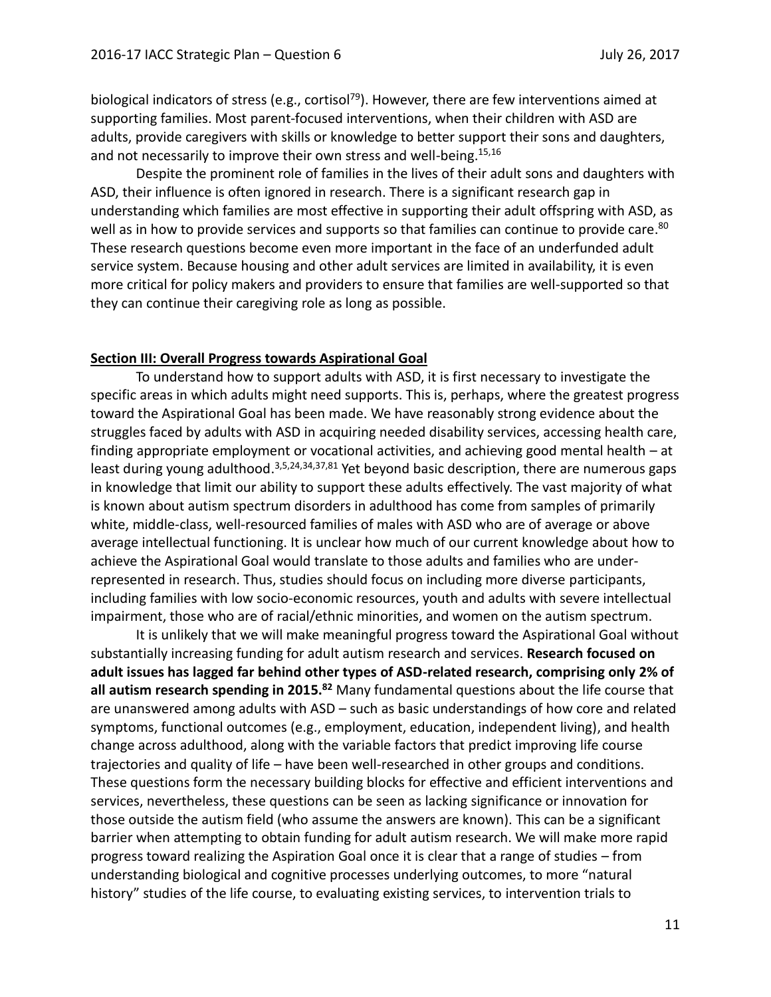biological indicators of stress (e.g., cortisol<sup>79</sup>). However, there are few interventions aimed at supporting families. Most parent-focused interventions, when their children with ASD are adults, provide caregivers with skills or knowledge to better support their sons and daughters, and not necessarily to improve their own stress and well-being.<sup>15,16</sup>

Despite the prominent role of families in the lives of their adult sons and daughters with ASD, their influence is often ignored in research. There is a significant research gap in understanding which families are most effective in supporting their adult offspring with ASD, as well as in how to provide services and supports so that families can continue to provide care.<sup>80</sup> These research questions become even more important in the face of an underfunded adult service system. Because housing and other adult services are limited in availability, it is even more critical for policy makers and providers to ensure that families are well-supported so that they can continue their caregiving role as long as possible.

#### **Section III: Overall Progress towards Aspirational Goal**

To understand how to support adults with ASD, it is first necessary to investigate the specific areas in which adults might need supports. This is, perhaps, where the greatest progress toward the Aspirational Goal has been made. We have reasonably strong evidence about the struggles faced by adults with ASD in acquiring needed disability services, accessing health care, finding appropriate employment or vocational activities, and achieving good mental health – at least during young adulthood.<sup>3,5,24,34,37,81</sup> Yet beyond basic description, there are numerous gaps in knowledge that limit our ability to support these adults effectively. The vast majority of what is known about autism spectrum disorders in adulthood has come from samples of primarily white, middle-class, well-resourced families of males with ASD who are of average or above average intellectual functioning. It is unclear how much of our current knowledge about how to achieve the Aspirational Goal would translate to those adults and families who are underrepresented in research. Thus, studies should focus on including more diverse participants, including families with low socio-economic resources, youth and adults with severe intellectual impairment, those who are of racial/ethnic minorities, and women on the autism spectrum.

It is unlikely that we will make meaningful progress toward the Aspirational Goal without substantially increasing funding for adult autism research and services. **Research focused on adult issues has lagged far behind other types of ASD-related research, comprising only 2% of all autism research spending in 2015. <sup>82</sup>** Many fundamental questions about the life course that are unanswered among adults with ASD – such as basic understandings of how core and related symptoms, functional outcomes (e.g., employment, education, independent living), and health change across adulthood, along with the variable factors that predict improving life course trajectories and quality of life – have been well-researched in other groups and conditions. These questions form the necessary building blocks for effective and efficient interventions and services, nevertheless, these questions can be seen as lacking significance or innovation for those outside the autism field (who assume the answers are known). This can be a significant barrier when attempting to obtain funding for adult autism research. We will make more rapid progress toward realizing the Aspiration Goal once it is clear that a range of studies – from understanding biological and cognitive processes underlying outcomes, to more "natural history" studies of the life course, to evaluating existing services, to intervention trials to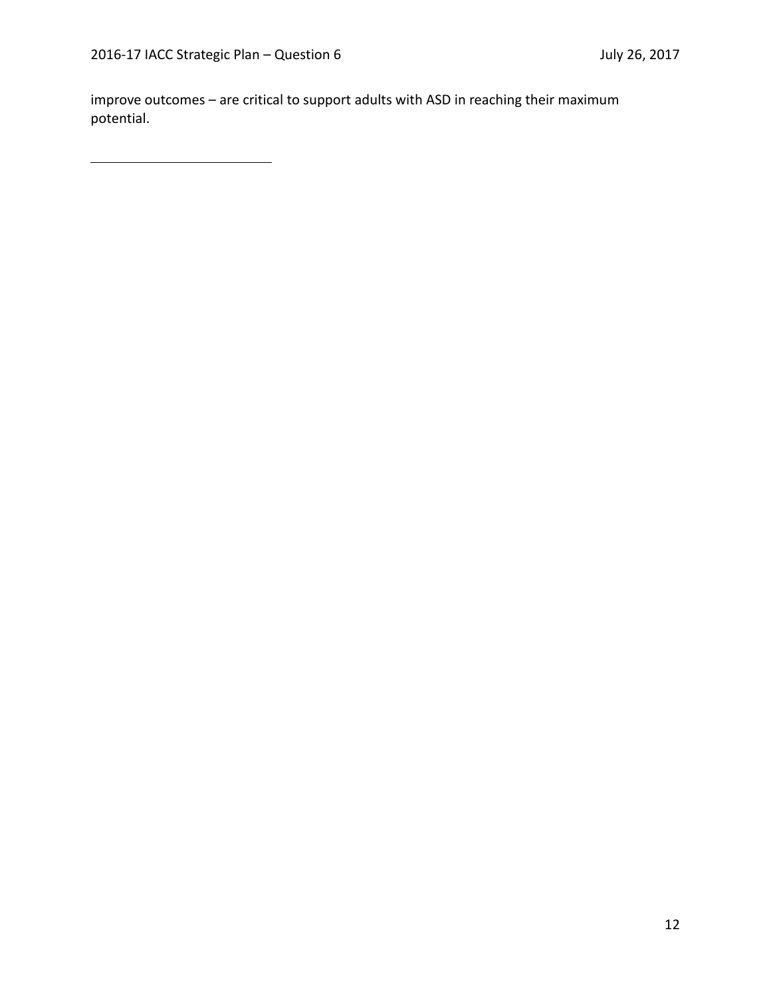improve outcomes – are critical to support adults with ASD in reaching their maximum potential.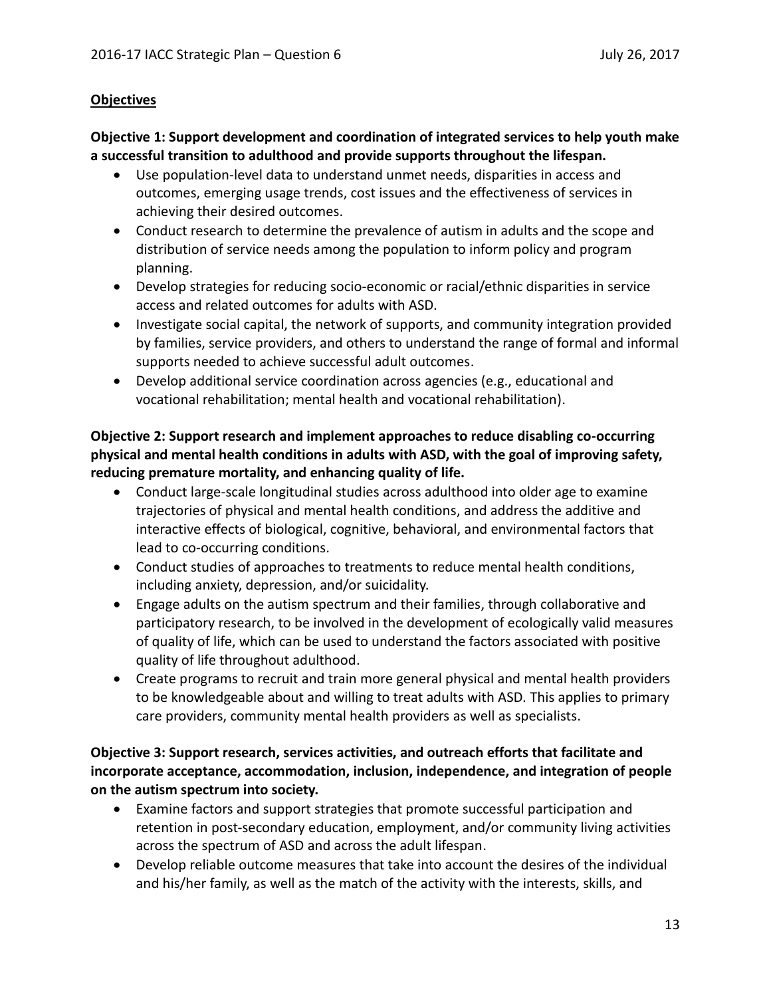## **Objectives**

## **Objective 1: Support development and coordination of integrated services to help youth make a successful transition to adulthood and provide supports throughout the lifespan.**

- Use population-level data to understand unmet needs, disparities in access and outcomes, emerging usage trends, cost issues and the effectiveness of services in achieving their desired outcomes.
- Conduct research to determine the prevalence of autism in adults and the scope and distribution of service needs among the population to inform policy and program planning.
- Develop strategies for reducing socio-economic or racial/ethnic disparities in service access and related outcomes for adults with ASD.
- Investigate social capital, the network of supports, and community integration provided by families, service providers, and others to understand the range of formal and informal supports needed to achieve successful adult outcomes.
- Develop additional service coordination across agencies (e.g., educational and vocational rehabilitation; mental health and vocational rehabilitation).

## **Objective 2: Support research and implement approaches to reduce disabling co-occurring physical and mental health conditions in adults with ASD, with the goal of improving safety, reducing premature mortality, and enhancing quality of life.**

- Conduct large-scale longitudinal studies across adulthood into older age to examine trajectories of physical and mental health conditions, and address the additive and interactive effects of biological, cognitive, behavioral, and environmental factors that lead to co-occurring conditions.
- Conduct studies of approaches to treatments to reduce mental health conditions, including anxiety, depression, and/or suicidality.
- Engage adults on the autism spectrum and their families, through collaborative and participatory research, to be involved in the development of ecologically valid measures of quality of life, which can be used to understand the factors associated with positive quality of life throughout adulthood.
- Create programs to recruit and train more general physical and mental health providers to be knowledgeable about and willing to treat adults with ASD. This applies to primary care providers, community mental health providers as well as specialists.

## **Objective 3: Support research, services activities, and outreach efforts that facilitate and incorporate acceptance, accommodation, inclusion, independence, and integration of people on the autism spectrum into society.**

- Examine factors and support strategies that promote successful participation and retention in post-secondary education, employment, and/or community living activities across the spectrum of ASD and across the adult lifespan.
- Develop reliable outcome measures that take into account the desires of the individual and his/her family, as well as the match of the activity with the interests, skills, and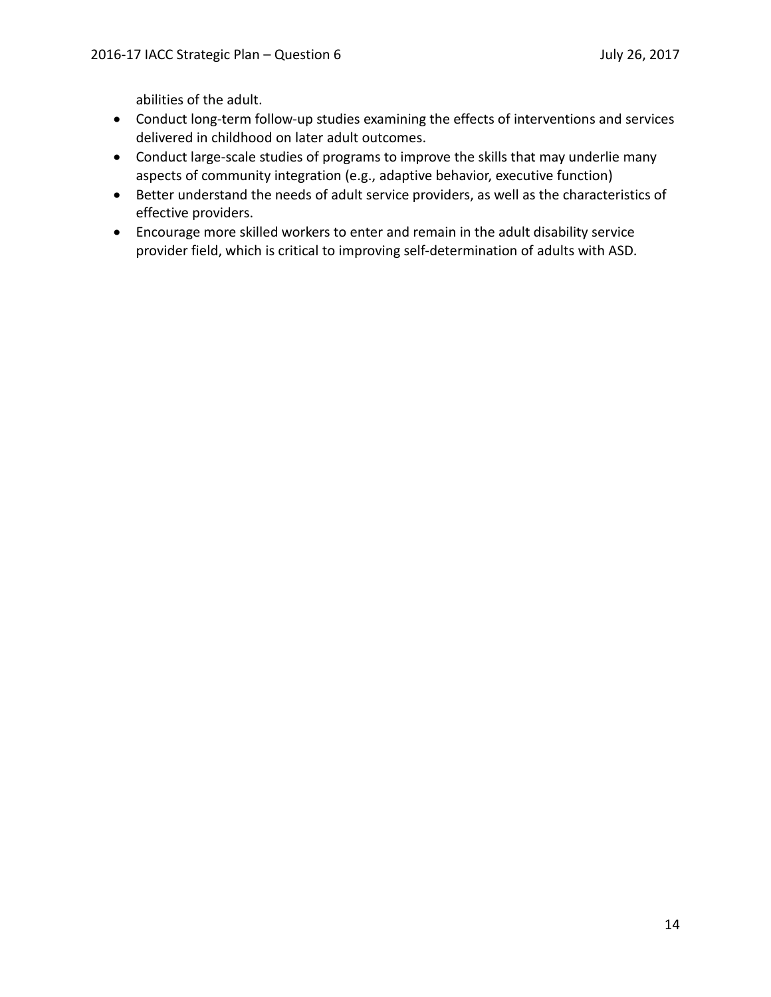abilities of the adult.

- Conduct long-term follow-up studies examining the effects of interventions and services delivered in childhood on later adult outcomes.
- Conduct large-scale studies of programs to improve the skills that may underlie many aspects of community integration (e.g., adaptive behavior, executive function)
- Better understand the needs of adult service providers, as well as the characteristics of effective providers.
- Encourage more skilled workers to enter and remain in the adult disability service provider field, which is critical to improving self-determination of adults with ASD.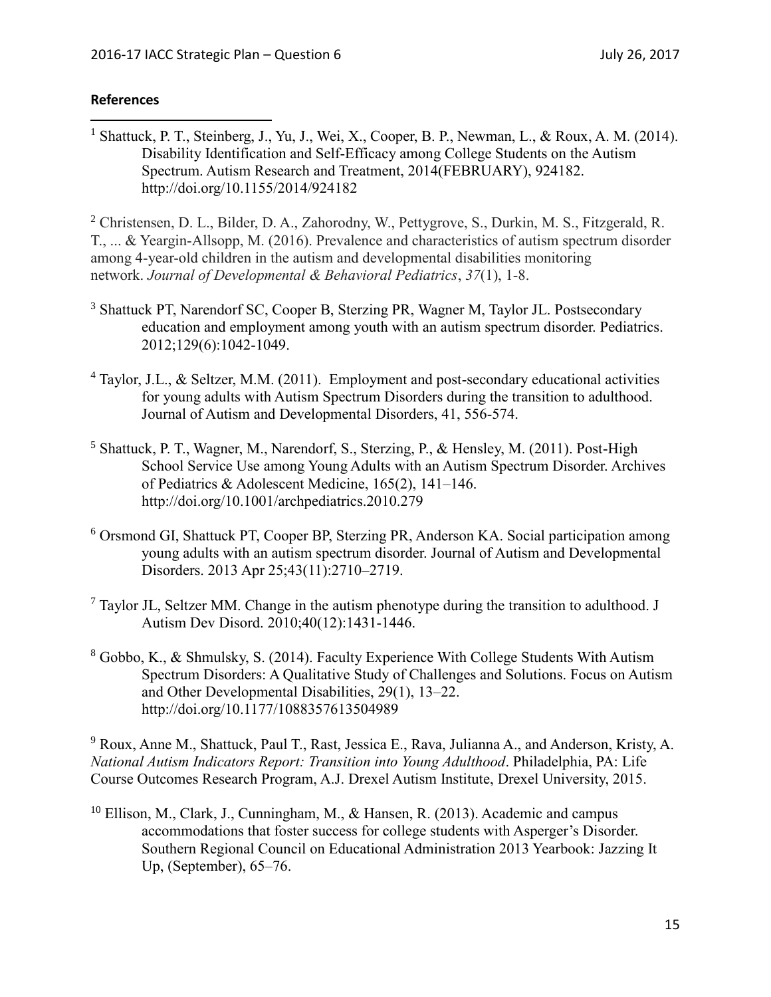## **References**

<sup>1</sup> Shattuck, P. T., Steinberg, J., Yu, J., Wei, X., Cooper, B. P., Newman, L., & Roux, A. M. (2014). Disability Identification and Self-Efficacy among College Students on the Autism Spectrum. Autism Research and Treatment, 2014(FEBRUARY), 924182. http://doi.org/10.1155/2014/924182  $\overline{a}$ 

<sup>2</sup> Christensen, D. L., Bilder, D. A., Zahorodny, W., Pettygrove, S., Durkin, M. S., Fitzgerald, R. T., ... & Yeargin-Allsopp, M. (2016). Prevalence and characteristics of autism spectrum disorder among 4-year-old children in the autism and developmental disabilities monitoring network. *Journal of Developmental & Behavioral Pediatrics*, *37*(1), 1-8.

- <sup>3</sup> Shattuck PT, Narendorf SC, Cooper B, Sterzing PR, Wagner M, Taylor JL. Postsecondary education and employment among youth with an autism spectrum disorder. Pediatrics. 2012;129(6):1042-1049.
- <sup>4</sup> Taylor, J.L., & Seltzer, M.M. (2011). Employment and post-secondary educational activities for young adults with Autism Spectrum Disorders during the transition to adulthood. Journal of Autism and Developmental Disorders, 41, 556-574.
- <sup>5</sup> Shattuck, P. T., Wagner, M., Narendorf, S., Sterzing, P., & Hensley, M. (2011). Post-High School Service Use among Young Adults with an Autism Spectrum Disorder. Archives of Pediatrics & Adolescent Medicine, 165(2), 141–146. http://doi.org/10.1001/archpediatrics.2010.279
- <sup>6</sup> Orsmond GI, Shattuck PT, Cooper BP, Sterzing PR, Anderson KA. Social participation among young adults with an autism spectrum disorder. Journal of Autism and Developmental Disorders. 2013 Apr 25;43(11):2710–2719.
- $<sup>7</sup>$  Taylor JL, Seltzer MM. Change in the autism phenotype during the transition to adulthood. J</sup> Autism Dev Disord. 2010;40(12):1431-1446.
- <sup>8</sup> Gobbo, K., & Shmulsky, S. (2014). Faculty Experience With College Students With Autism Spectrum Disorders: A Qualitative Study of Challenges and Solutions. Focus on Autism and Other Developmental Disabilities, 29(1), 13–22. http://doi.org/10.1177/1088357613504989

<sup>9</sup> Roux, Anne M., Shattuck, Paul T., Rast, Jessica E., Rava, Julianna A., and Anderson, Kristy, A. *National Autism Indicators Report: Transition into Young Adulthood*. Philadelphia, PA: Life Course Outcomes Research Program, A.J. Drexel Autism Institute, Drexel University, 2015.

 $10$  Ellison, M., Clark, J., Cunningham, M., & Hansen, R. (2013). Academic and campus accommodations that foster success for college students with Asperger's Disorder. Southern Regional Council on Educational Administration 2013 Yearbook: Jazzing It Up, (September), 65–76.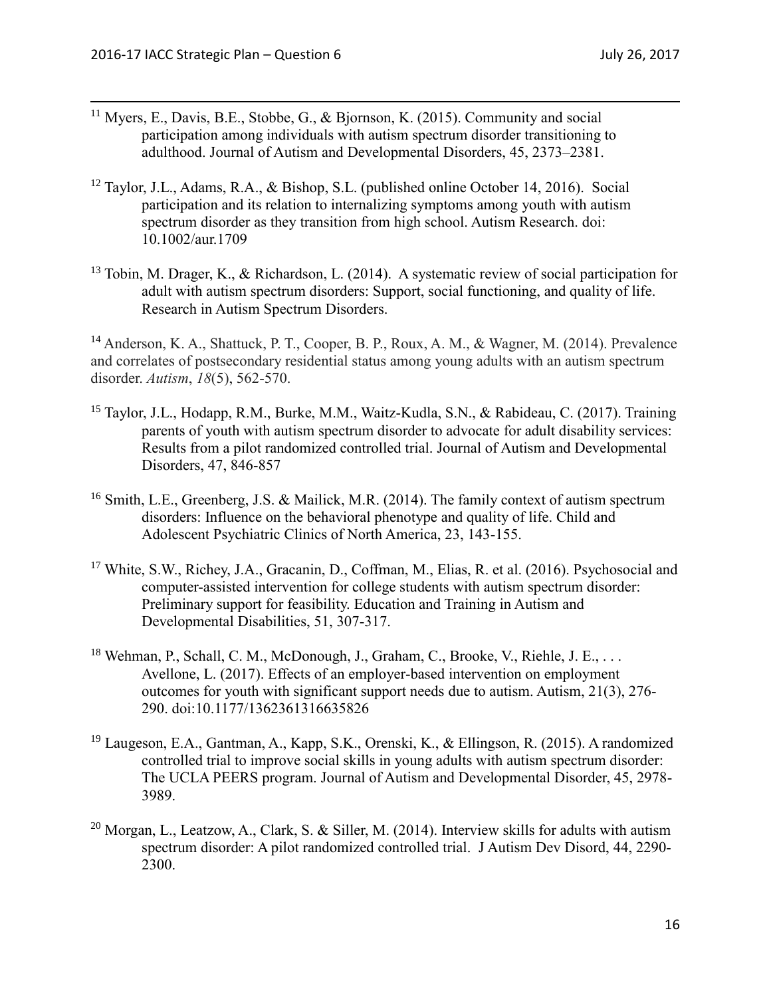- <sup>11</sup> Myers, E., Davis, B.E., Stobbe, G., & Bjornson, K. (2015). Community and social participation among individuals with autism spectrum disorder transitioning to adulthood. Journal of Autism and Developmental Disorders, 45, 2373–2381.
- <sup>12</sup> Taylor, J.L., Adams, R.A., & Bishop, S.L. (published online October 14, 2016). Social participation and its relation to internalizing symptoms among youth with autism spectrum disorder as they transition from high school. Autism Research. doi: 10.1002/aur.1709
- <sup>13</sup> Tobin, M. Drager, K., & Richardson, L. (2014). A systematic review of social participation for adult with autism spectrum disorders: Support, social functioning, and quality of life. Research in Autism Spectrum Disorders.

<sup>14</sup> Anderson, K. A., Shattuck, P. T., Cooper, B. P., Roux, A. M., & Wagner, M. (2014). Prevalence and correlates of postsecondary residential status among young adults with an autism spectrum disorder. *Autism*, *18*(5), 562-570.

- <sup>15</sup> Taylor, J.L., Hodapp, R.M., Burke, M.M., Waitz-Kudla, S.N., & Rabideau, C. (2017). Training parents of youth with autism spectrum disorder to advocate for adult disability services: Results from a pilot randomized controlled trial. Journal of Autism and Developmental Disorders, 47, 846-857
- <sup>16</sup> Smith, L.E., Greenberg, J.S. & Mailick, M.R. (2014). The family context of autism spectrum disorders: Influence on the behavioral phenotype and quality of life. Child and Adolescent Psychiatric Clinics of North America, 23, 143-155.
- <sup>17</sup> White, S.W., Richey, J.A., Gracanin, D., Coffman, M., Elias, R. et al. (2016). Psychosocial and computer-assisted intervention for college students with autism spectrum disorder: Preliminary support for feasibility. Education and Training in Autism and Developmental Disabilities, 51, 307-317.
- <sup>18</sup> Wehman, P., Schall, C. M., McDonough, J., Graham, C., Brooke, V., Riehle, J. E., . . . Avellone, L. (2017). Effects of an employer-based intervention on employment outcomes for youth with significant support needs due to autism. Autism, 21(3), 276- 290. doi:10.1177/1362361316635826
- <sup>19</sup> Laugeson, E.A., Gantman, A., Kapp, S.K., Orenski, K., & Ellingson, R. (2015). A randomized controlled trial to improve social skills in young adults with autism spectrum disorder: The UCLA PEERS program. Journal of Autism and Developmental Disorder, 45, 2978- 3989.
- <sup>20</sup> Morgan, L., Leatzow, A., Clark, S. & Siller, M. (2014). Interview skills for adults with autism spectrum disorder: A pilot randomized controlled trial. J Autism Dev Disord, 44, 2290- 2300.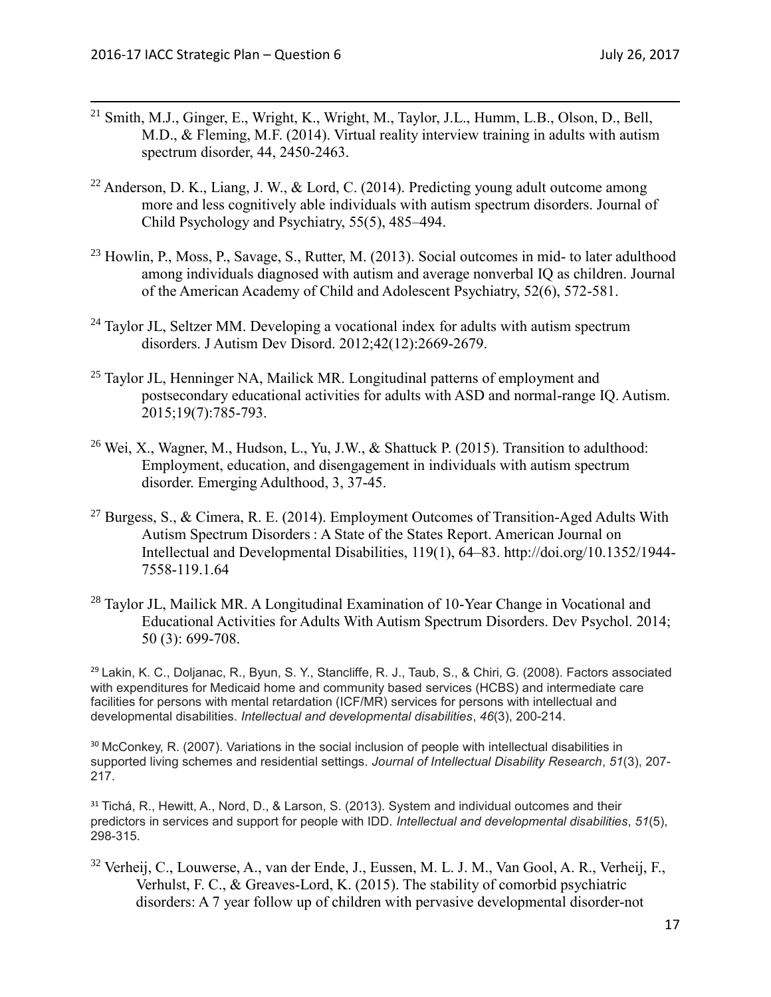- <sup>21</sup> Smith, M.J., Ginger, E., Wright, K., Wright, M., Taylor, J.L., Humm, L.B., Olson, D., Bell, M.D., & Fleming, M.F. (2014). Virtual reality interview training in adults with autism spectrum disorder, 44, 2450-2463.
- <sup>22</sup> Anderson, D. K., Liang, J. W., & Lord, C. (2014). Predicting young adult outcome among more and less cognitively able individuals with autism spectrum disorders. Journal of Child Psychology and Psychiatry, 55(5), 485–494.
- <sup>23</sup> Howlin, P., Moss, P., Savage, S., Rutter, M. (2013). Social outcomes in mid- to later adulthood among individuals diagnosed with autism and average nonverbal IQ as children. Journal of the American Academy of Child and Adolescent Psychiatry, 52(6), 572-581.
- <sup>24</sup> Taylor JL, Seltzer MM. Developing a vocational index for adults with autism spectrum disorders. J Autism Dev Disord. 2012;42(12):2669-2679.
- <sup>25</sup> Taylor JL, Henninger NA, Mailick MR. Longitudinal patterns of employment and postsecondary educational activities for adults with ASD and normal-range IQ. Autism. 2015;19(7):785-793.
- <sup>26</sup> Wei, X., Wagner, M., Hudson, L., Yu, J.W., & Shattuck P. (2015). Transition to adulthood: Employment, education, and disengagement in individuals with autism spectrum disorder. Emerging Adulthood, 3, 37-45.
- <sup>27</sup> Burgess, S., & Cimera, R. E. (2014). Employment Outcomes of Transition-Aged Adults With Autism Spectrum Disorders : A State of the States Report. American Journal on Intellectual and Developmental Disabilities, 119(1), 64–83. http://doi.org/10.1352/1944- 7558-119.1.64
- <sup>28</sup> Taylor JL, Mailick MR. A Longitudinal Examination of 10-Year Change in Vocational and Educational Activities for Adults With Autism Spectrum Disorders. Dev Psychol. 2014; 50 (3): 699-708.

<sup>29</sup> Lakin, K. C., Doljanac, R., Byun, S. Y., Stancliffe, R. J., Taub, S., & Chiri, G. (2008). Factors associated with expenditures for Medicaid home and community based services (HCBS) and intermediate care facilities for persons with mental retardation (ICF/MR) services for persons with intellectual and developmental disabilities. *Intellectual and developmental disabilities*, *46*(3), 200-214.

<sup>30</sup> McConkey, R. (2007). Variations in the social inclusion of people with intellectual disabilities in supported living schemes and residential settings. *Journal of Intellectual Disability Research*, *51*(3), 207- 217.

<sup>31</sup> Tichá, R., Hewitt, A., Nord, D., & Larson, S. (2013). System and individual outcomes and their predictors in services and support for people with IDD. *Intellectual and developmental disabilities*, *51*(5), 298-315.

<sup>32</sup> Verheij, C., Louwerse, A., van der Ende, J., Eussen, M. L. J. M., Van Gool, A. R., Verheij, F., Verhulst, F. C., & Greaves-Lord, K. (2015). The stability of comorbid psychiatric disorders: A 7 year follow up of children with pervasive developmental disorder-not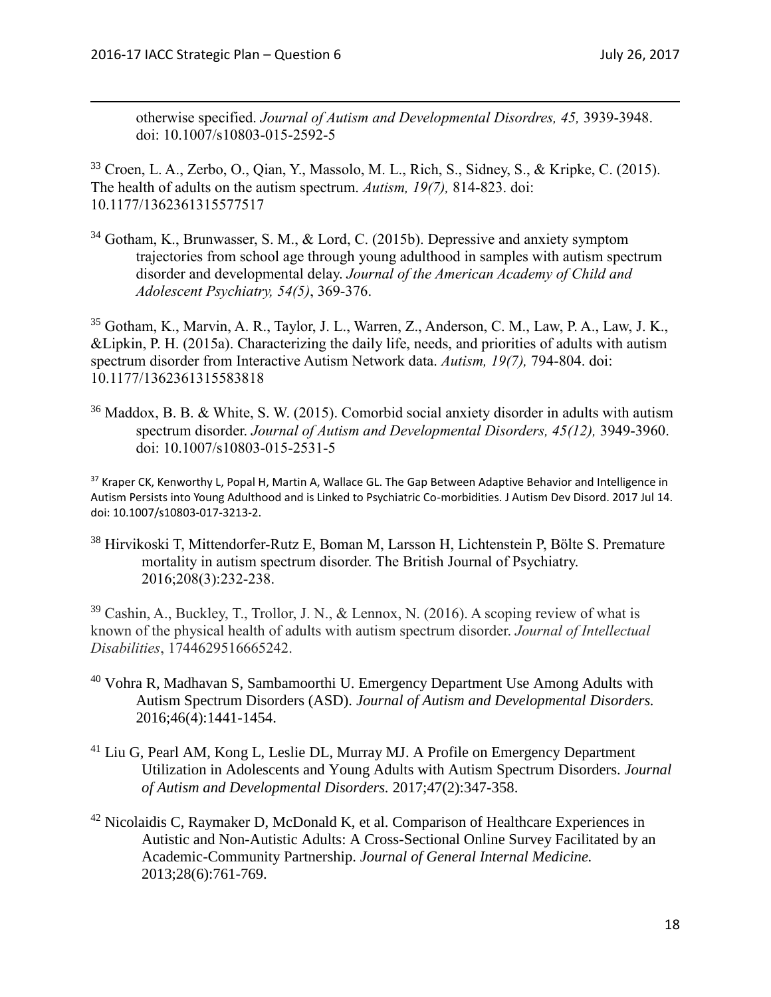otherwise specified. *Journal of Autism and Developmental Disordres, 45,* 3939-3948. doi: 10.1007/s10803-015-2592-5

<sup>33</sup> Croen, L. A., Zerbo, O., Qian, Y., Massolo, M. L., Rich, S., Sidney, S., & Kripke, C. (2015). The health of adults on the autism spectrum. *Autism, 19(7),* 814-823. doi: 10.1177/1362361315577517

<sup>34</sup> Gotham, K., Brunwasser, S. M., & Lord, C. (2015b). Depressive and anxiety symptom trajectories from school age through young adulthood in samples with autism spectrum disorder and developmental delay. *Journal of the American Academy of Child and Adolescent Psychiatry, 54(5)*, 369-376.

<sup>35</sup> Gotham, K., Marvin, A. R., Taylor, J. L., Warren, Z., Anderson, C. M., Law, P. A., Law, J. K., &Lipkin, P. H. (2015a). Characterizing the daily life, needs, and priorities of adults with autism spectrum disorder from Interactive Autism Network data. *Autism, 19(7),* 794-804. doi: 10.1177/1362361315583818

<sup>36</sup> Maddox, B. B. & White, S. W. (2015). Comorbid social anxiety disorder in adults with autism spectrum disorder. *Journal of Autism and Developmental Disorders, 45(12),* 3949-3960. doi: 10.1007/s10803-015-2531-5

<sup>37</sup> Kraper CK, Kenworthy L, Popal H, Martin A, Wallace GL. The Gap Between Adaptive Behavior and Intelligence in Autism Persists into Young Adulthood and is Linked to Psychiatric Co-morbidities. J Autism Dev Disord. 2017 Jul 14. doi: 10.1007/s10803-017-3213-2.

<sup>38</sup> Hirvikoski T, Mittendorfer-Rutz E, Boman M, Larsson H, Lichtenstein P, Bölte S. Premature mortality in autism spectrum disorder. The British Journal of Psychiatry. 2016;208(3):232-238.

 $39$  Cashin, A., Buckley, T., Trollor, J. N., & Lennox, N. (2016). A scoping review of what is known of the physical health of adults with autism spectrum disorder. *Journal of Intellectual Disabilities*, 1744629516665242.

- $40$  Vohra R, Madhavan S, Sambamoorthi U. Emergency Department Use Among Adults with Autism Spectrum Disorders (ASD). *Journal of Autism and Developmental Disorders.*  2016;46(4):1441-1454.
- <sup>41</sup> Liu G, Pearl AM, Kong L, Leslie DL, Murray MJ. A Profile on Emergency Department Utilization in Adolescents and Young Adults with Autism Spectrum Disorders. *Journal of Autism and Developmental Disorders.* 2017;47(2):347-358.
- $42$  Nicolaidis C, Raymaker D, McDonald K, et al. Comparison of Healthcare Experiences in Autistic and Non-Autistic Adults: A Cross-Sectional Online Survey Facilitated by an Academic-Community Partnership. *Journal of General Internal Medicine.*  2013;28(6):761-769.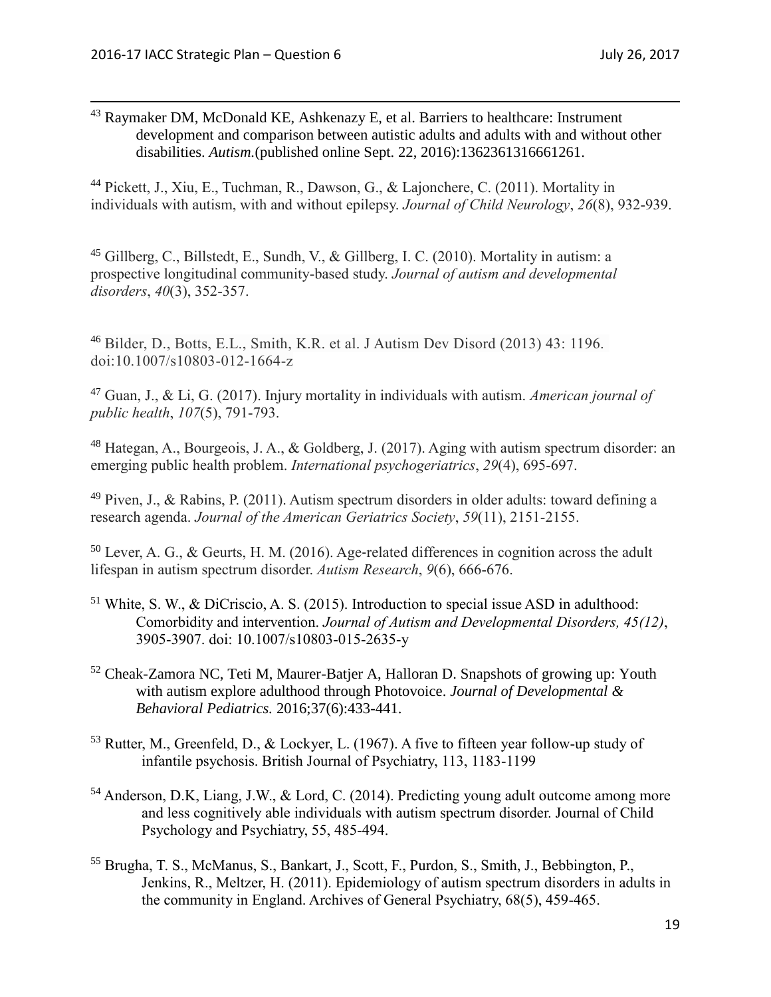<sup>43</sup> Raymaker DM, McDonald KE, Ashkenazy E, et al. Barriers to healthcare: Instrument development and comparison between autistic adults and adults with and without other disabilities. *Autism.*(published online Sept. 22, 2016):1362361316661261.

<sup>44</sup> Pickett, J., Xiu, E., Tuchman, R., Dawson, G., & Lajonchere, C. (2011). Mortality in individuals with autism, with and without epilepsy. *Journal of Child Neurology*, *26*(8), 932-939.

<sup>45</sup> Gillberg, C., Billstedt, E., Sundh, V., & Gillberg, I. C. (2010). Mortality in autism: a prospective longitudinal community-based study. *Journal of autism and developmental disorders*, *40*(3), 352-357.

<sup>46</sup> Bilder, D., Botts, E.L., Smith, K.R. et al. J Autism Dev Disord (2013) 43: 1196. doi:10.1007/s10803-012-1664-z

<sup>47</sup> Guan, J., & Li, G. (2017). Injury mortality in individuals with autism. *American journal of public health*, *107*(5), 791-793.

<sup>48</sup> Hategan, A., Bourgeois, J. A., & Goldberg, J. (2017). Aging with autism spectrum disorder: an emerging public health problem. *International psychogeriatrics*, *29*(4), 695-697.

 $49$  Piven, J., & Rabins, P. (2011). Autism spectrum disorders in older adults: toward defining a research agenda. *Journal of the American Geriatrics Society*, *59*(11), 2151-2155.

 $50$  Lever, A. G., & Geurts, H. M. (2016). Age-related differences in cognition across the adult lifespan in autism spectrum disorder. *Autism Research*, *9*(6), 666-676.

- $51$  White, S. W., & DiCriscio, A. S. (2015). Introduction to special issue ASD in adulthood: Comorbidity and intervention. *Journal of Autism and Developmental Disorders, 45(12)*, 3905-3907. doi: 10.1007/s10803-015-2635-y
- <sup>52</sup> Cheak-Zamora NC, Teti M, Maurer-Batjer A, Halloran D. Snapshots of growing up: Youth with autism explore adulthood through Photovoice. *Journal of Developmental & Behavioral Pediatrics.* 2016;37(6):433-441.
- <sup>53</sup> Rutter, M., Greenfeld, D., & Lockyer, L. (1967). A five to fifteen year follow-up study of infantile psychosis. British Journal of Psychiatry, 113, 1183-1199
- <sup>54</sup> Anderson, D.K, Liang, J.W., & Lord, C. (2014). Predicting young adult outcome among more and less cognitively able individuals with autism spectrum disorder. Journal of Child Psychology and Psychiatry, 55, 485-494.
- <sup>55</sup> Brugha, T. S., McManus, S., Bankart, J., Scott, F., Purdon, S., Smith, J., Bebbington, P., Jenkins, R., Meltzer, H. (2011). Epidemiology of autism spectrum disorders in adults in the community in England. Archives of General Psychiatry, 68(5), 459-465.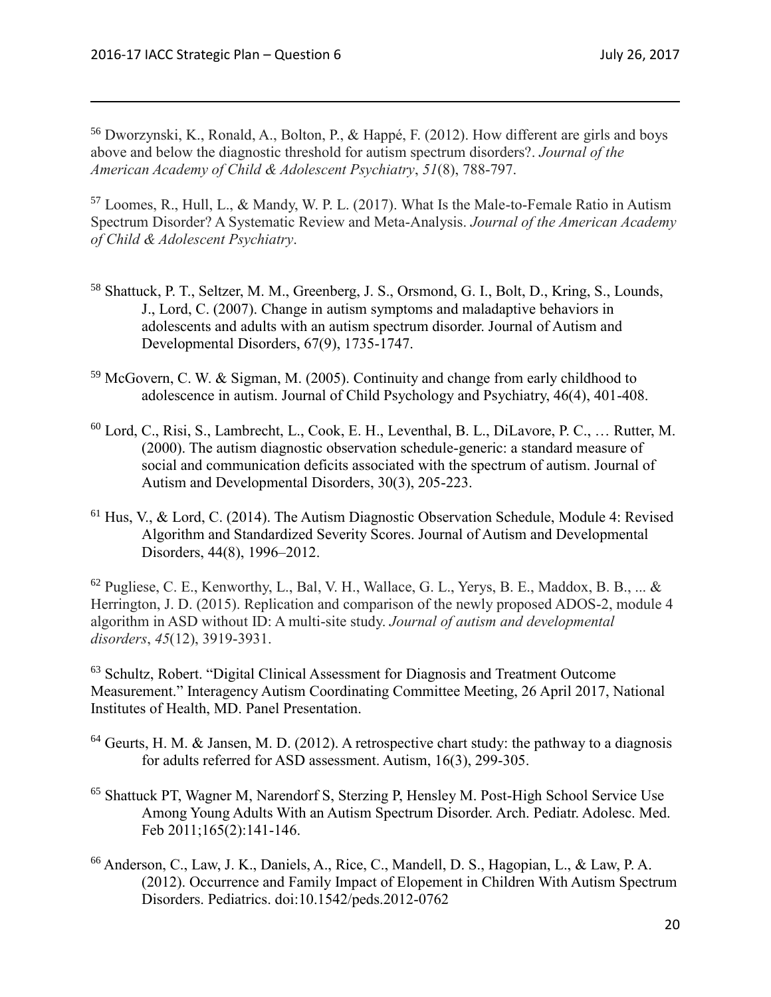<sup>56</sup> Dworzynski, K., Ronald, A., Bolton, P., & Happé, F. (2012). How different are girls and boys above and below the diagnostic threshold for autism spectrum disorders?. *Journal of the American Academy of Child & Adolescent Psychiatry*, *51*(8), 788-797.

<sup>57</sup> Loomes, R., Hull, L., & Mandy, W. P. L. (2017). What Is the Male-to-Female Ratio in Autism Spectrum Disorder? A Systematic Review and Meta-Analysis. *Journal of the American Academy of Child & Adolescent Psychiatry*.

- <sup>58</sup> Shattuck, P. T., Seltzer, M. M., Greenberg, J. S., Orsmond, G. I., Bolt, D., Kring, S., Lounds, J., Lord, C. (2007). Change in autism symptoms and maladaptive behaviors in adolescents and adults with an autism spectrum disorder. Journal of Autism and Developmental Disorders, 67(9), 1735-1747.
- <sup>59</sup> McGovern, C. W. & Sigman, M. (2005). Continuity and change from early childhood to adolescence in autism. Journal of Child Psychology and Psychiatry, 46(4), 401-408.
- <sup>60</sup> Lord, C., Risi, S., Lambrecht, L., Cook, E. H., Leventhal, B. L., DiLavore, P. C., … Rutter, M. (2000). The autism diagnostic observation schedule-generic: a standard measure of social and communication deficits associated with the spectrum of autism. Journal of Autism and Developmental Disorders, 30(3), 205-223.
- <sup>61</sup> Hus, V., & Lord, C. (2014). The Autism Diagnostic Observation Schedule, Module 4: Revised Algorithm and Standardized Severity Scores. Journal of Autism and Developmental Disorders, 44(8), 1996–2012.

 $62$  Pugliese, C. E., Kenworthy, L., Bal, V. H., Wallace, G. L., Yerys, B. E., Maddox, B. B., ... & Herrington, J. D. (2015). Replication and comparison of the newly proposed ADOS-2, module 4 algorithm in ASD without ID: A multi-site study. *Journal of autism and developmental disorders*, *45*(12), 3919-3931.

<sup>63</sup> Schultz, Robert. "Digital Clinical Assessment for Diagnosis and Treatment Outcome Measurement." Interagency Autism Coordinating Committee Meeting, 26 April 2017, National Institutes of Health, MD. Panel Presentation.

- $64$  Geurts, H. M. & Jansen, M. D. (2012). A retrospective chart study: the pathway to a diagnosis for adults referred for ASD assessment. Autism, 16(3), 299-305.
- <sup>65</sup> Shattuck PT, Wagner M, Narendorf S, Sterzing P, Hensley M. Post-High School Service Use Among Young Adults With an Autism Spectrum Disorder. Arch. Pediatr. Adolesc. Med. Feb 2011;165(2):141-146.
- <sup>66</sup> Anderson, C., Law, J. K., Daniels, A., Rice, C., Mandell, D. S., Hagopian, L., & Law, P. A. (2012). Occurrence and Family Impact of Elopement in Children With Autism Spectrum Disorders. Pediatrics. doi:10.1542/peds.2012-0762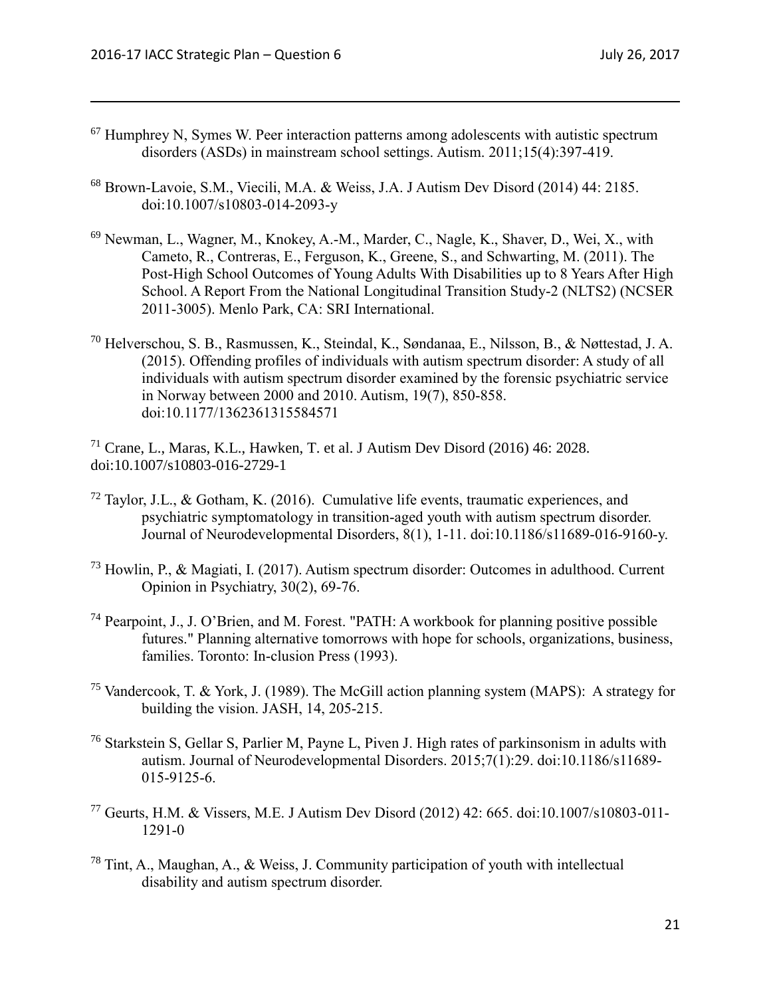- <sup>67</sup> Humphrey N, Symes W. Peer interaction patterns among adolescents with autistic spectrum disorders (ASDs) in mainstream school settings. Autism. 2011;15(4):397-419.
- <sup>68</sup> Brown-Lavoie, S.M., Viecili, M.A. & Weiss, J.A. J Autism Dev Disord (2014) 44: 2185. doi:10.1007/s10803-014-2093-y
- <sup>69</sup> Newman, L., Wagner, M., Knokey, A.-M., Marder, C., Nagle, K., Shaver, D., Wei, X., with Cameto, R., Contreras, E., Ferguson, K., Greene, S., and Schwarting, M. (2011). The Post-High School Outcomes of Young Adults With Disabilities up to 8 Years After High School. A Report From the National Longitudinal Transition Study-2 (NLTS2) (NCSER 2011-3005). Menlo Park, CA: SRI International.
- <sup>70</sup> Helverschou, S. B., Rasmussen, K., Steindal, K., Søndanaa, E., Nilsson, B., & Nøttestad, J. A. (2015). Offending profiles of individuals with autism spectrum disorder: A study of all individuals with autism spectrum disorder examined by the forensic psychiatric service in Norway between 2000 and 2010. Autism, 19(7), 850-858. doi:10.1177/1362361315584571
- <sup>71</sup> Crane, L., Maras, K.L., Hawken, T. et al. J Autism Dev Disord (2016) 46: 2028. doi:10.1007/s10803-016-2729-1
- $^{72}$  Taylor, J.L., & Gotham, K. (2016). Cumulative life events, traumatic experiences, and psychiatric symptomatology in transition-aged youth with autism spectrum disorder. Journal of Neurodevelopmental Disorders, 8(1), 1-11. doi:10.1186/s11689-016-9160-y.
- <sup>73</sup> Howlin, P., & Magiati, I. (2017). Autism spectrum disorder: Outcomes in adulthood. Current Opinion in Psychiatry, 30(2), 69-76.
- <sup>74</sup> Pearpoint, J., J. O'Brien, and M. Forest. "PATH: A workbook for planning positive possible futures." Planning alternative tomorrows with hope for schools, organizations, business, families. Toronto: In-clusion Press (1993).
- <sup>75</sup> Vandercook, T. & York, J. (1989). The McGill action planning system (MAPS): A strategy for building the vision. JASH, 14, 205-215.
- <sup>76</sup> Starkstein S, Gellar S, Parlier M, Payne L, Piven J. High rates of parkinsonism in adults with autism. Journal of Neurodevelopmental Disorders. 2015;7(1):29. doi:10.1186/s11689- 015-9125-6.
- <sup>77</sup> Geurts, H.M. & Vissers, M.E. J Autism Dev Disord (2012) 42: 665. doi:10.1007/s10803-011- 1291-0
- <sup>78</sup> Tint, A., Maughan, A., & Weiss, J. Community participation of youth with intellectual disability and autism spectrum disorder.